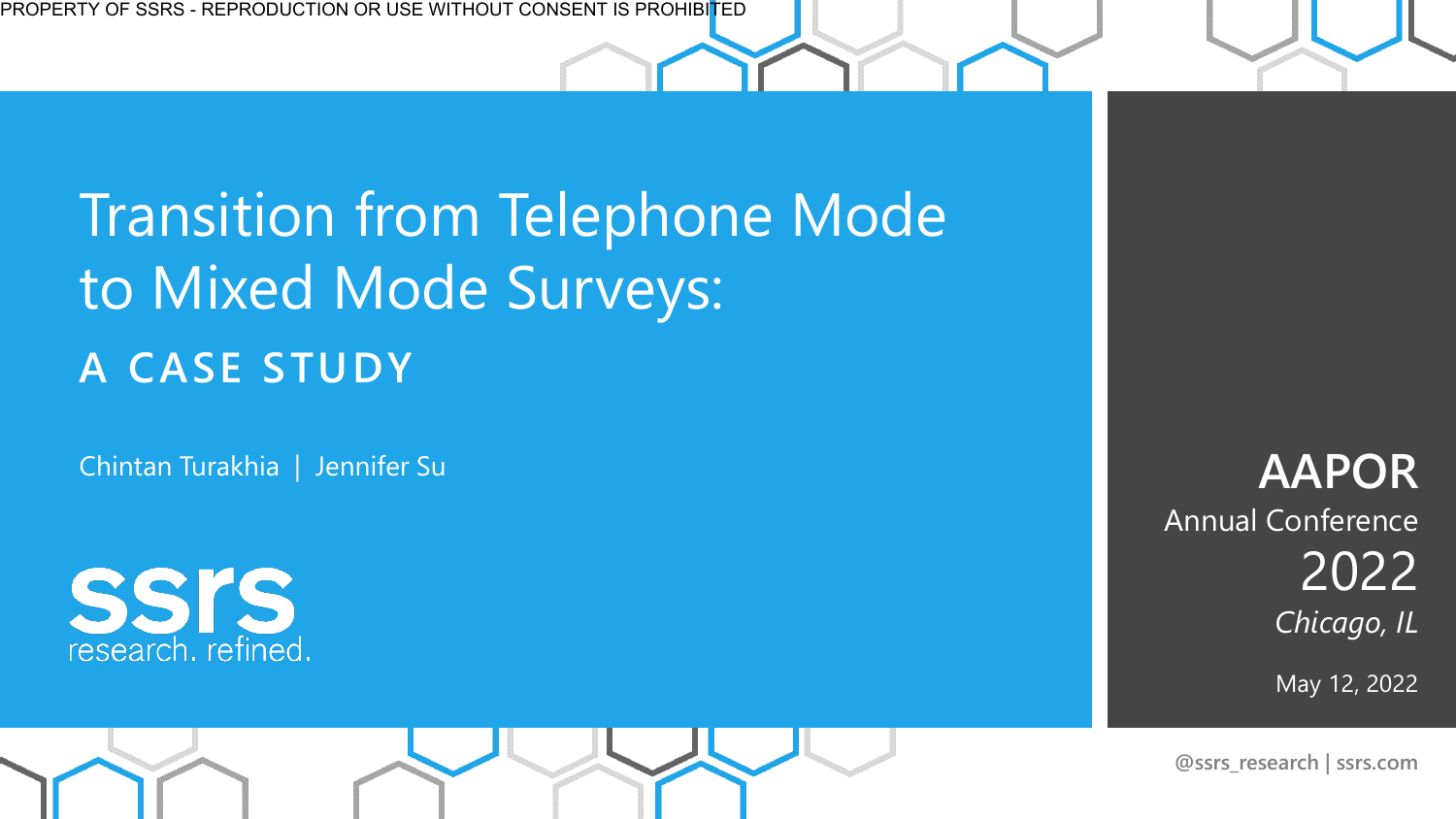### Transition from Telephone Mode to Mixed Mode Surveys: **A CASE STUDY**

Chintan Turakhia | Jennifer Su



**AAPOR**  Annual Conference 2022 *Chicago, IL*

May 12, 2022

**@ssrs\_research | ssrs.com**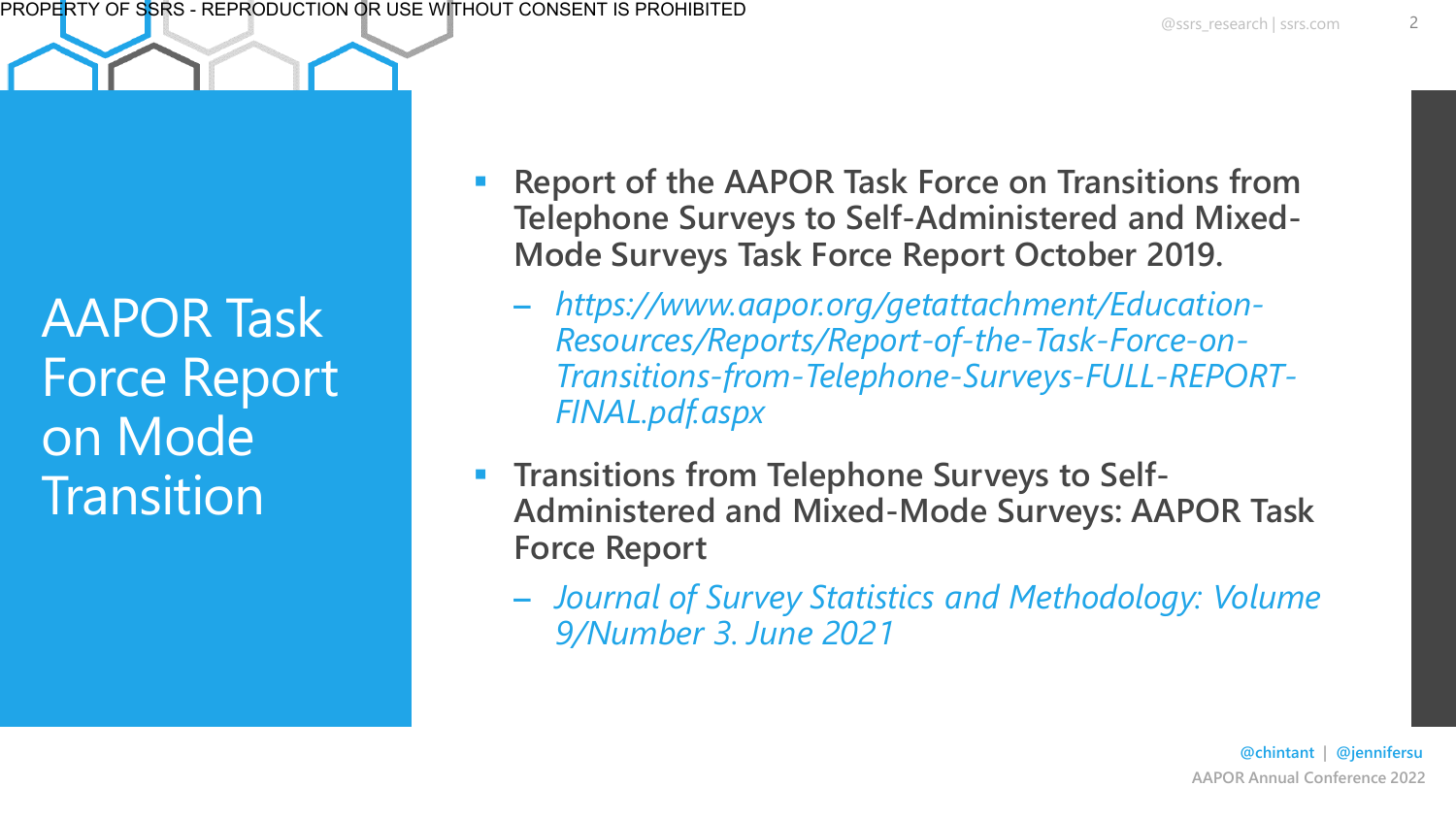AAPOR Task Force Report on Mode **Transition** 

- **Report of the AAPOR Task Force on Transitions from Telephone Surveys to Self-Administered and Mixed-Mode Surveys Task Force Report October 2019.**
	- *https://www.aapor.org/getattachment/Education-Resources/Reports/Report-of-the-Task-Force-on-Transitions-from-Telephone-Surveys-FULL-REPORT-FINAL.pdf.aspx*
- **Transitions from Telephone Surveys to Self-Administered and Mixed-Mode Surveys: AAPOR Task Force Report**
	- *Journal of Survey Statistics and Methodology: Volume 9/Number 3. June 2021*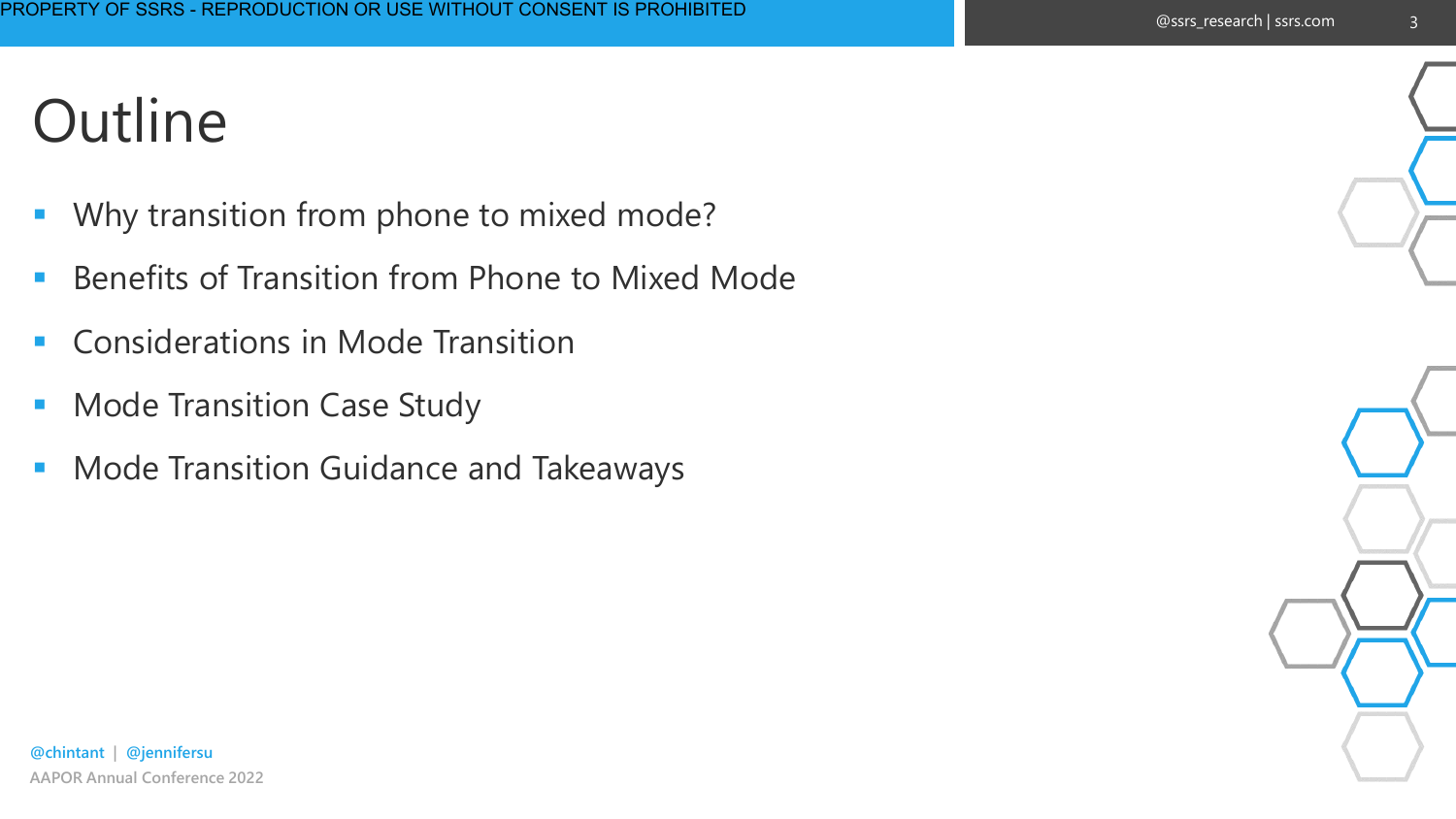#### @ssrs\_research | ssrs.com

3

### **Outline**

- Why transition from phone to mixed mode?
- Benefits of Transition from Phone to Mixed Mode
- Considerations in Mode Transition
- Mode Transition Case Study
- Mode Transition Guidance and Takeaways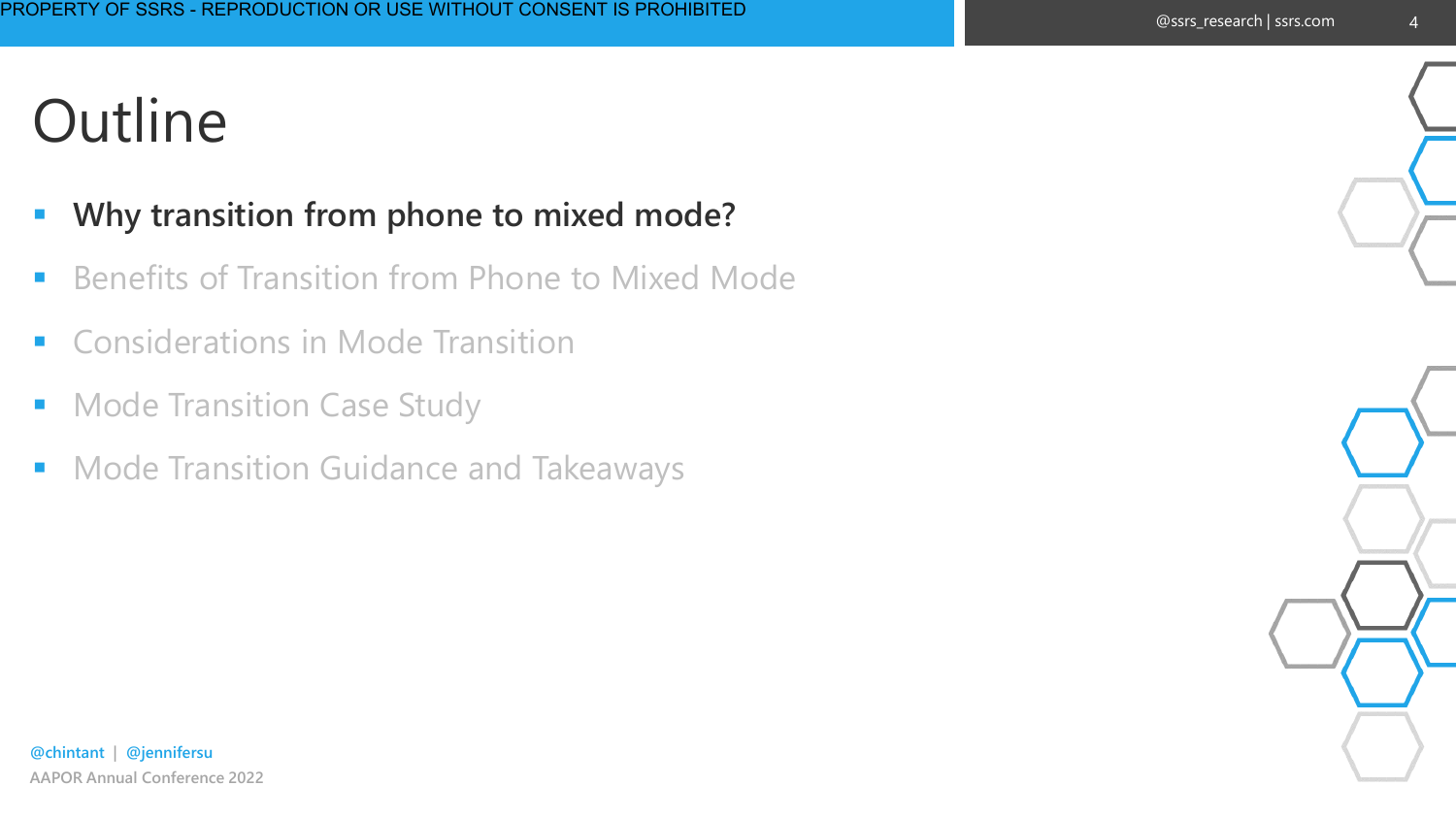#### ▪ **Why transition from phone to mixed mode?**

- Benefits of Transition from Phone to Mixed Mode
- Considerations in Mode Transition
- Mode Transition Case Study
- Mode Transition Guidance and Takeaways

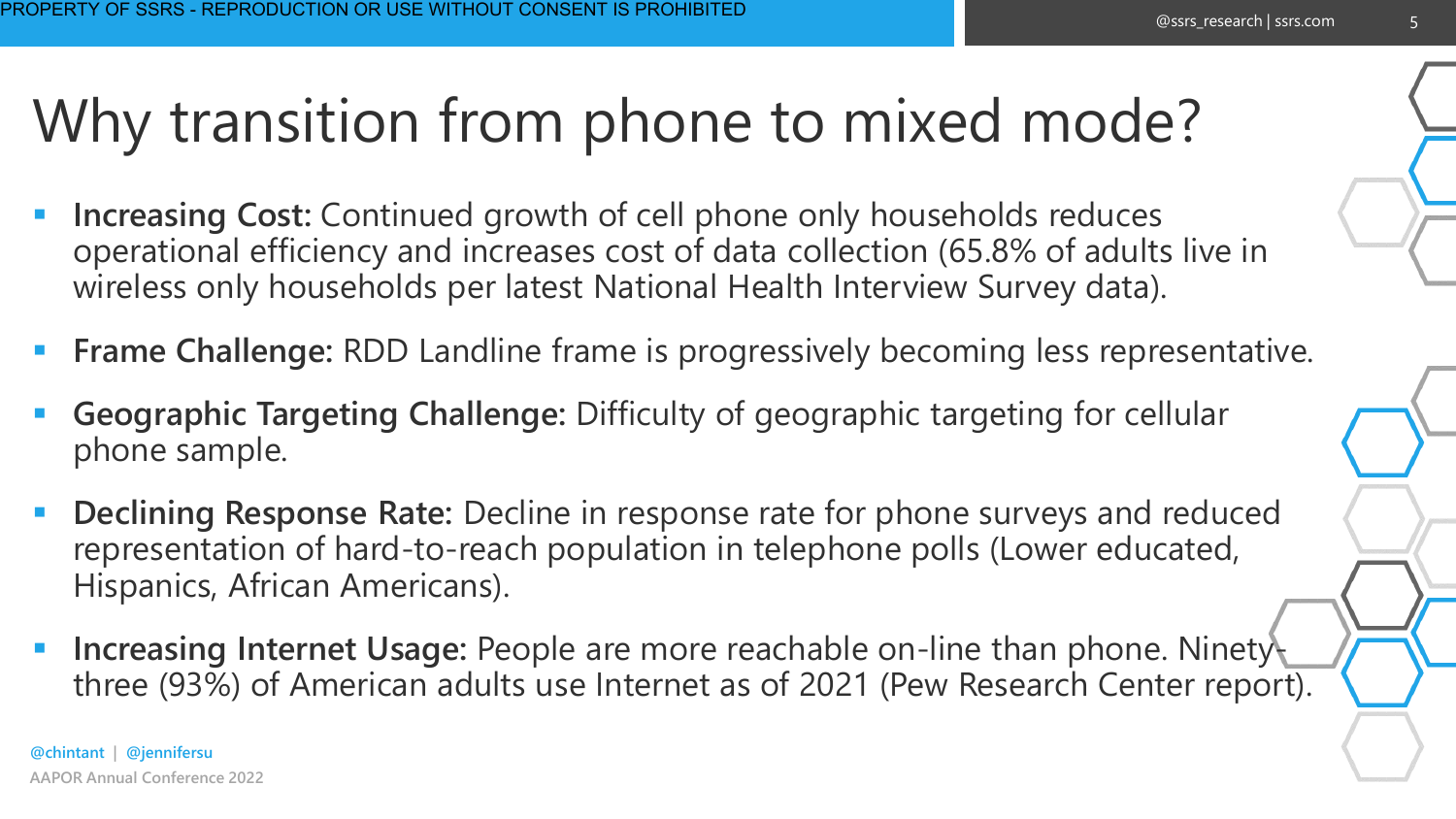#### @ssrs\_research | ssrs.com

5

## Why transition from phone to mixed mode?

- **Increasing Cost:** Continued growth of cell phone only households reduces operational efficiency and increases cost of data collection (65.8% of adults live in wireless only households per latest National Health Interview Survey data).
- **Frame Challenge:** RDD Landline frame is progressively becoming less representative.
- Geographic Targeting Challenge: Difficulty of geographic targeting for cellular phone sample.
- **Declining Response Rate:** Decline in response rate for phone surveys and reduced representation of hard-to-reach population in telephone polls (Lower educated, Hispanics, African Americans).
- **Increasing Internet Usage: People are more reachable on-line than phone. Ninety**three (93%) of American adults use Internet as of 2021 (Pew Research Center report).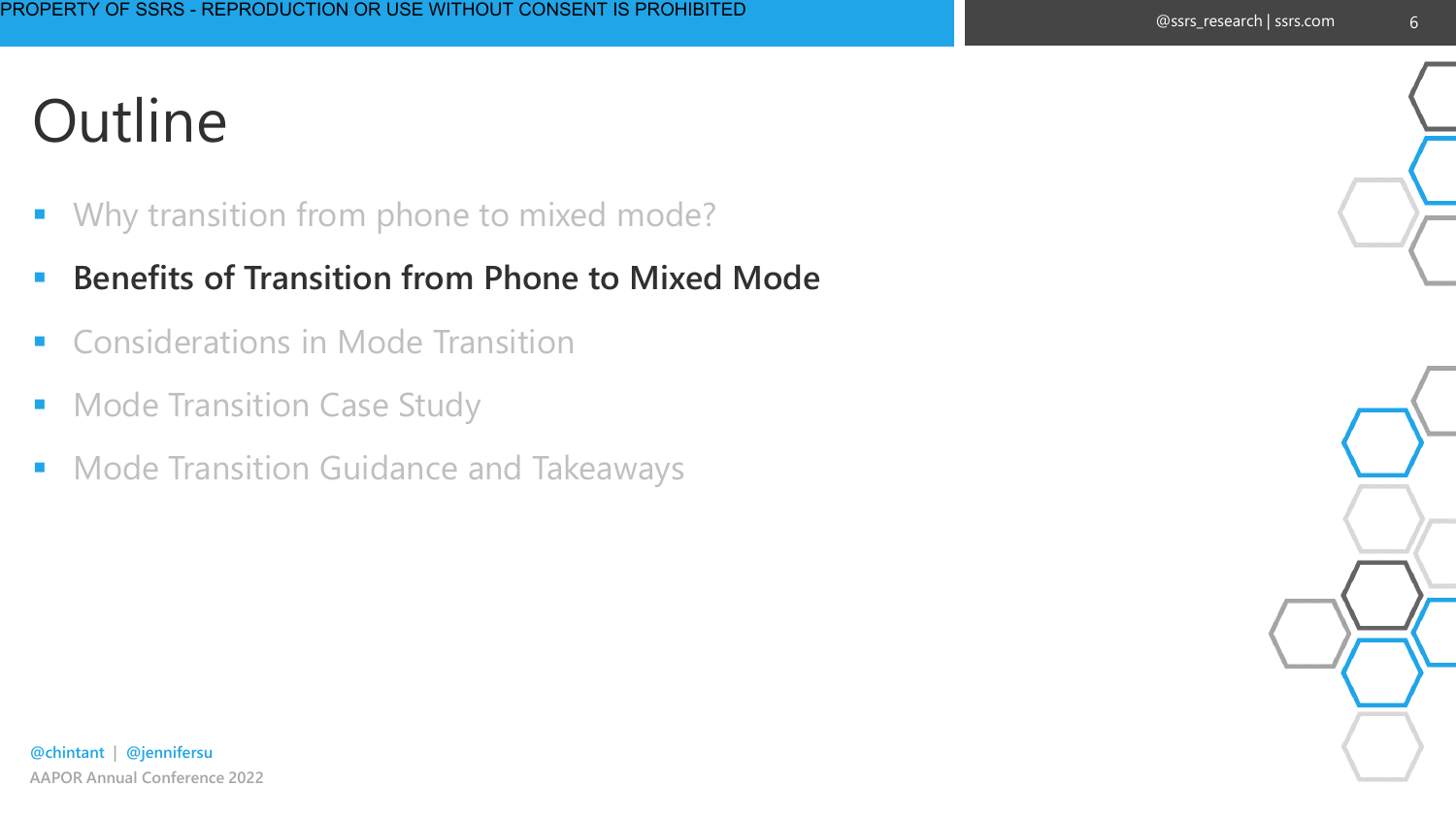- Why transition from phone to mixed mode?
- **E** Benefits of Transition from Phone to Mixed Mode
- Considerations in Mode Transition
- **Mode Transition Case Study**
- Mode Transition Guidance and Takeaways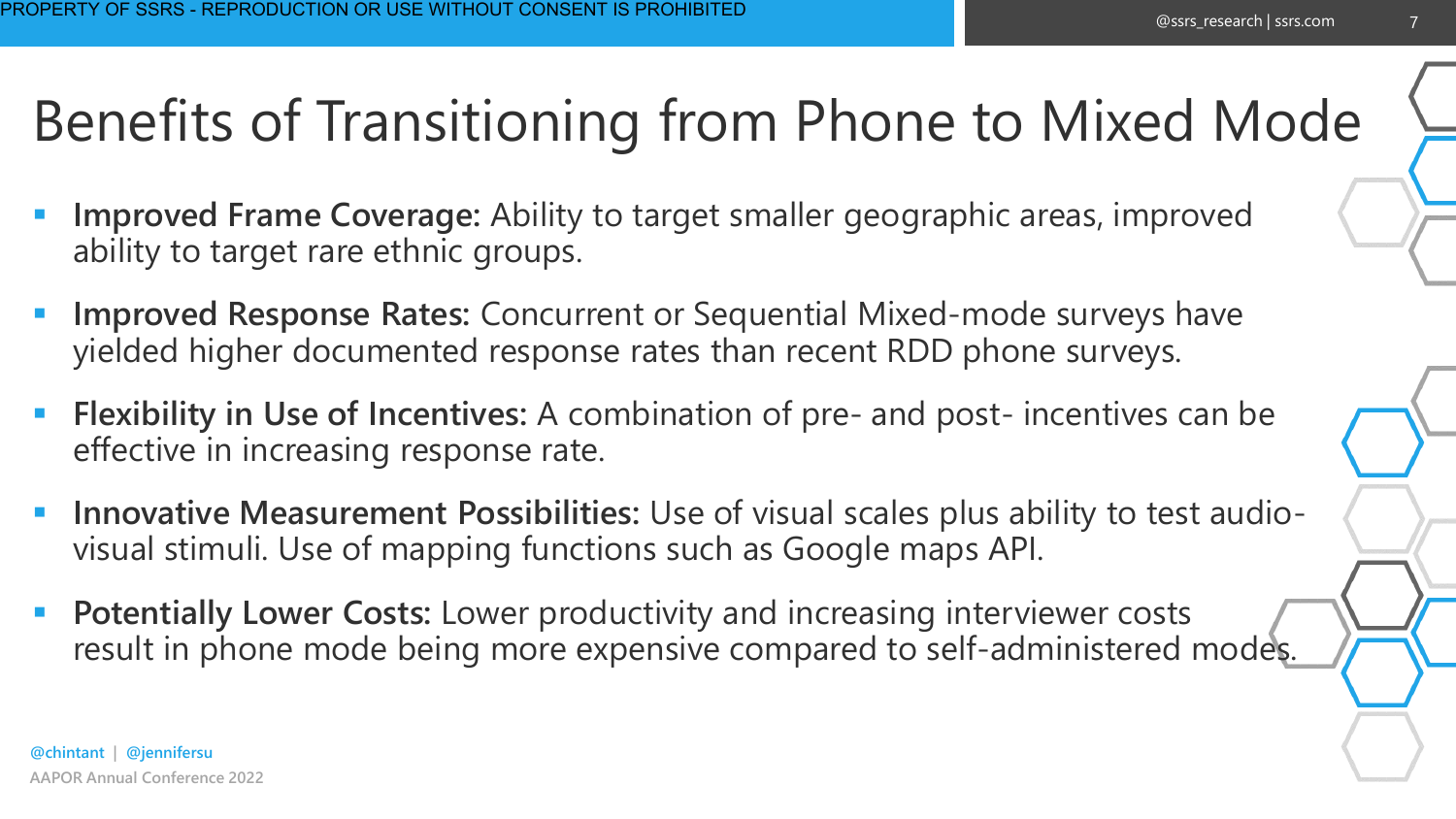### Benefits of Transitioning from Phone to Mixed Mode

- **Improved Frame Coverage:** Ability to target smaller geographic areas, improved ability to target rare ethnic groups.
- **Improved Response Rates:** Concurrent or Sequential Mixed-mode surveys have yielded higher documented response rates than recent RDD phone surveys.
- **Flexibility in Use of Incentives:** A combination of pre- and post- incentives can be effective in increasing response rate.
- **Innovative Measurement Possibilities:** Use of visual scales plus ability to test audiovisual stimuli. Use of mapping functions such as Google maps API.
- **Potentially Lower Costs: Lower productivity and increasing interviewer costs** result in phone mode being more expensive compared to self-administered modes.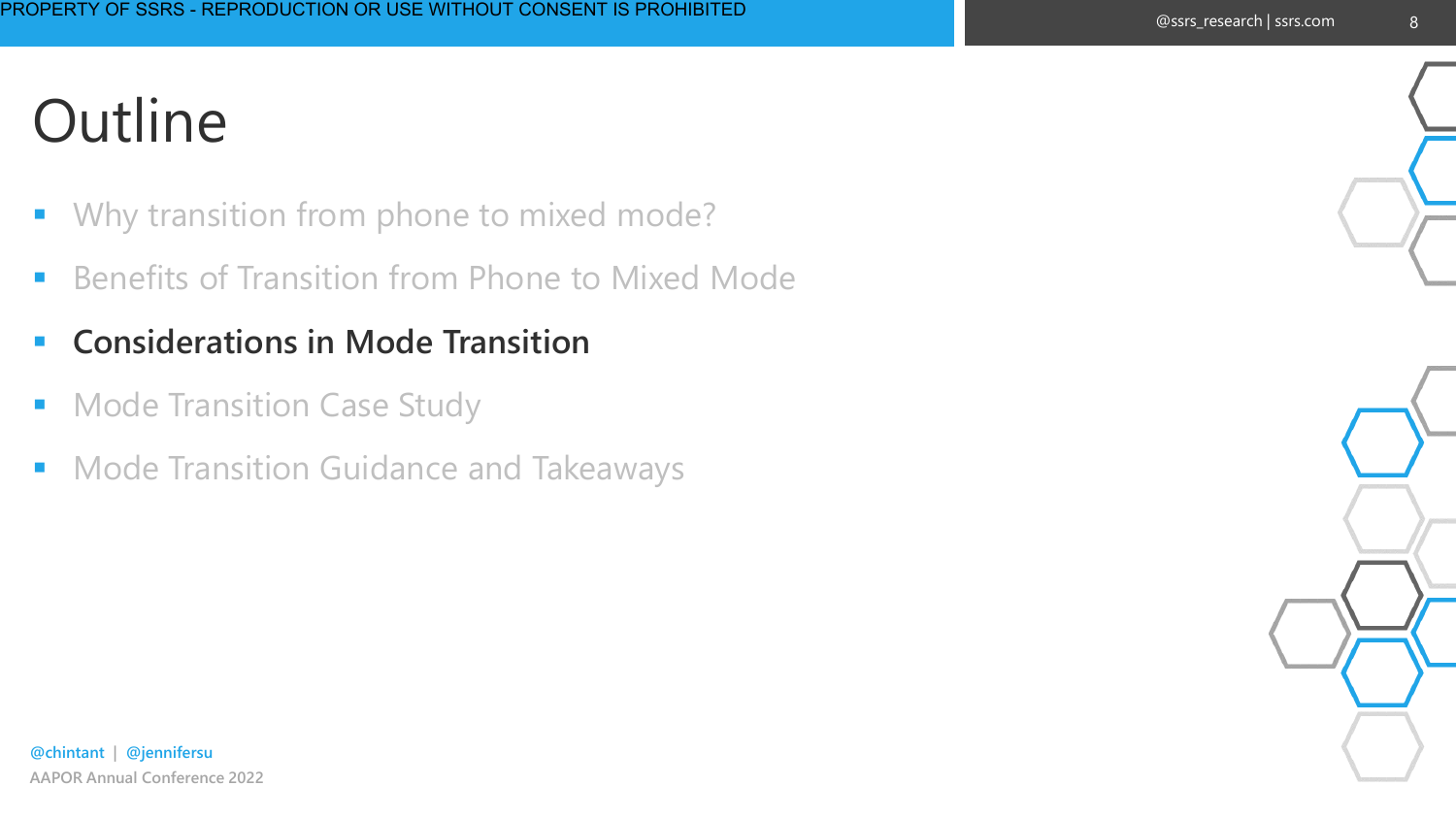- Why transition from phone to mixed mode?
- **E** Benefits of Transition from Phone to Mixed Mode
- **Considerations in Mode Transition**
- **Mode Transition Case Study**
- Mode Transition Guidance and Takeaways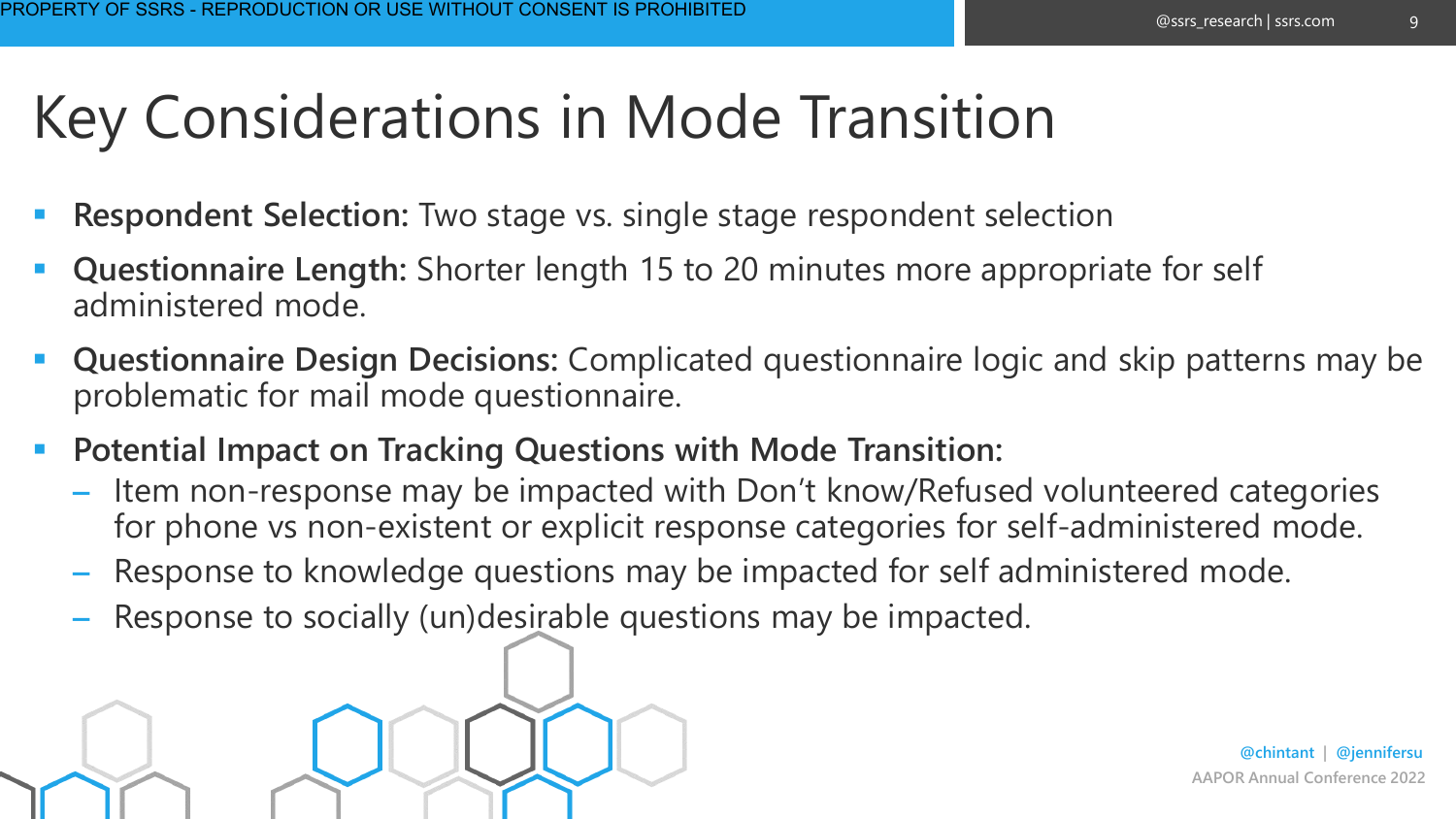9

### Key Considerations in Mode Transition

- **Respondent Selection:** Two stage vs. single stage respondent selection
- **Questionnaire Length:** Shorter length 15 to 20 minutes more appropriate for self administered mode.
- **Questionnaire Design Decisions:** Complicated questionnaire logic and skip patterns may be problematic for mail mode questionnaire.
- **Potential Impact on Tracking Questions with Mode Transition:** 
	- Item non-response may be impacted with Don't know/Refused volunteered categories for phone vs non-existent or explicit response categories for self-administered mode.
	- Response to knowledge questions may be impacted for self administered mode.
	- Response to socially (un)desirable questions may be impacted.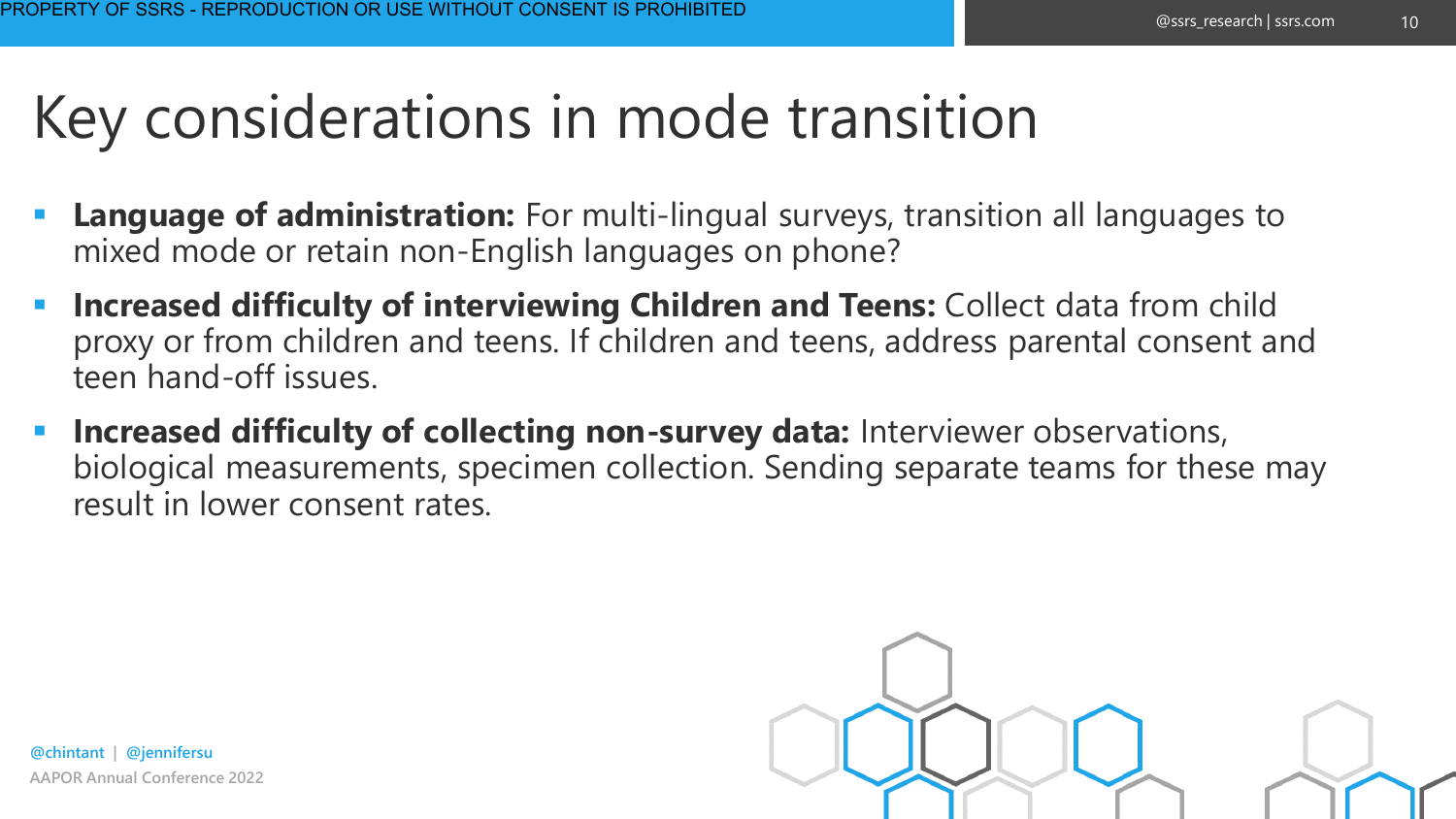10

### Key considerations in mode transition

- **Language of administration:** For multi-lingual surveys, transition all languages to mixed mode or retain non-English languages on phone?
- **Increased difficulty of interviewing Children and Teens:** Collect data from child proxy or from children and teens. If children and teens, address parental consent and teen hand-off issues.
- **EXTE:** Increased difficulty of collecting non-survey data: Interviewer observations, biological measurements, specimen collection. Sending separate teams for these may result in lower consent rates.

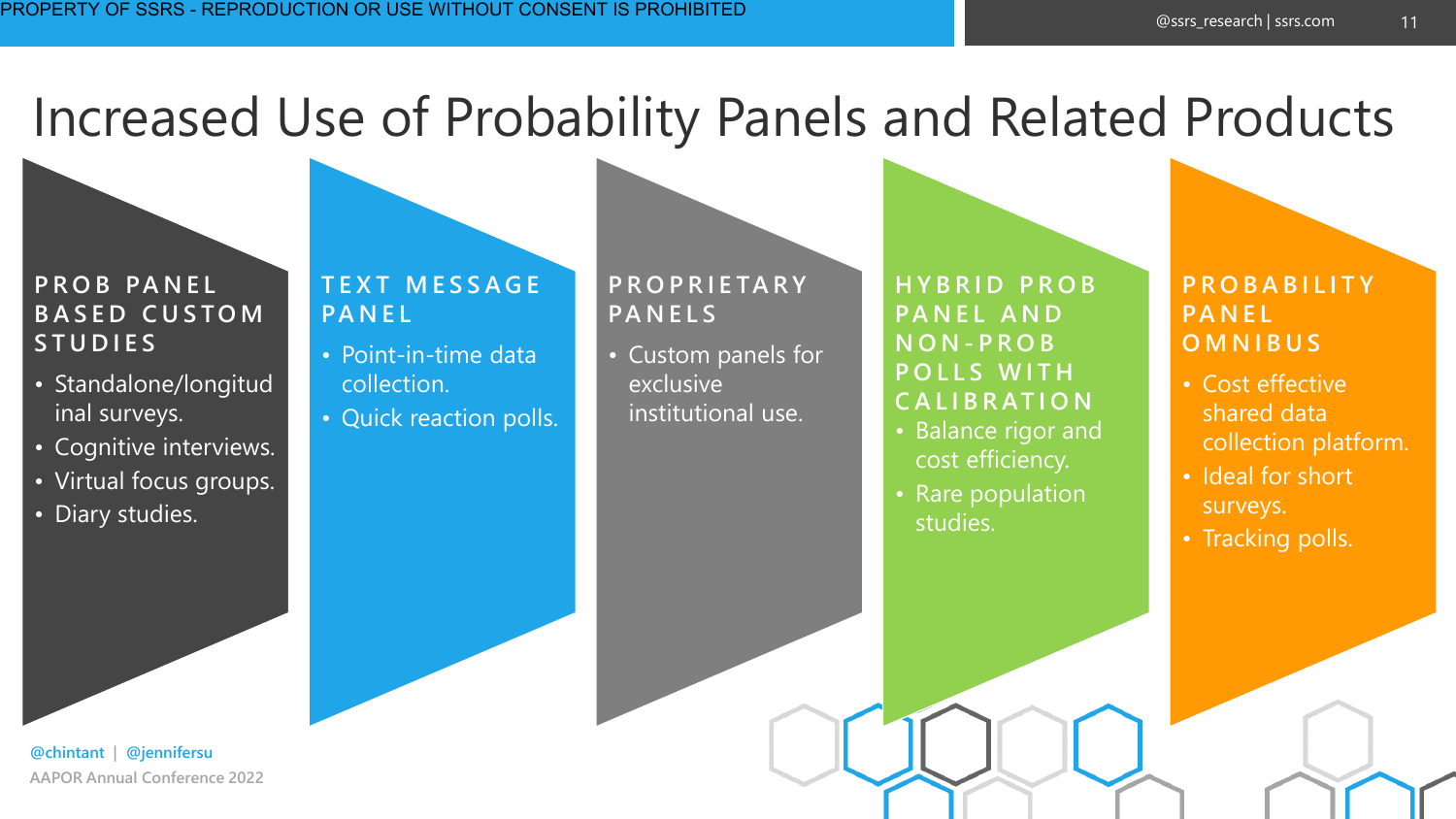#### Increased Use of Probability Panels and Related Products

#### **P R O B PA N E L BASED CUSTOM S T U D I E S**

- Standalone/longitud inal surveys.
- Cognitive interviews.
- Virtual focus groups.
- Diary studies.

#### **T E X T M E S S A G E PA N E L**

- Point-in-time data collection.
- Quick reaction polls.

#### **P R O P R I E TA R Y PA N E L S**

• Custom panels for exclusive institutional use.

**H Y B R I D P R O B PANEL AND N O N - P R O B P O L L S W I T H C A L I B R AT I O N**

- Balance rigor and cost efficiency.
- Rare population studies.

#### **P R O B A B I L I T Y PA N E L O M N I B U S**

- Cost effective shared data collection platform.
- Ideal for short surveys.
- Tracking polls.

**AAPOR Annual Conference 2022 @chintant | @jennifersu**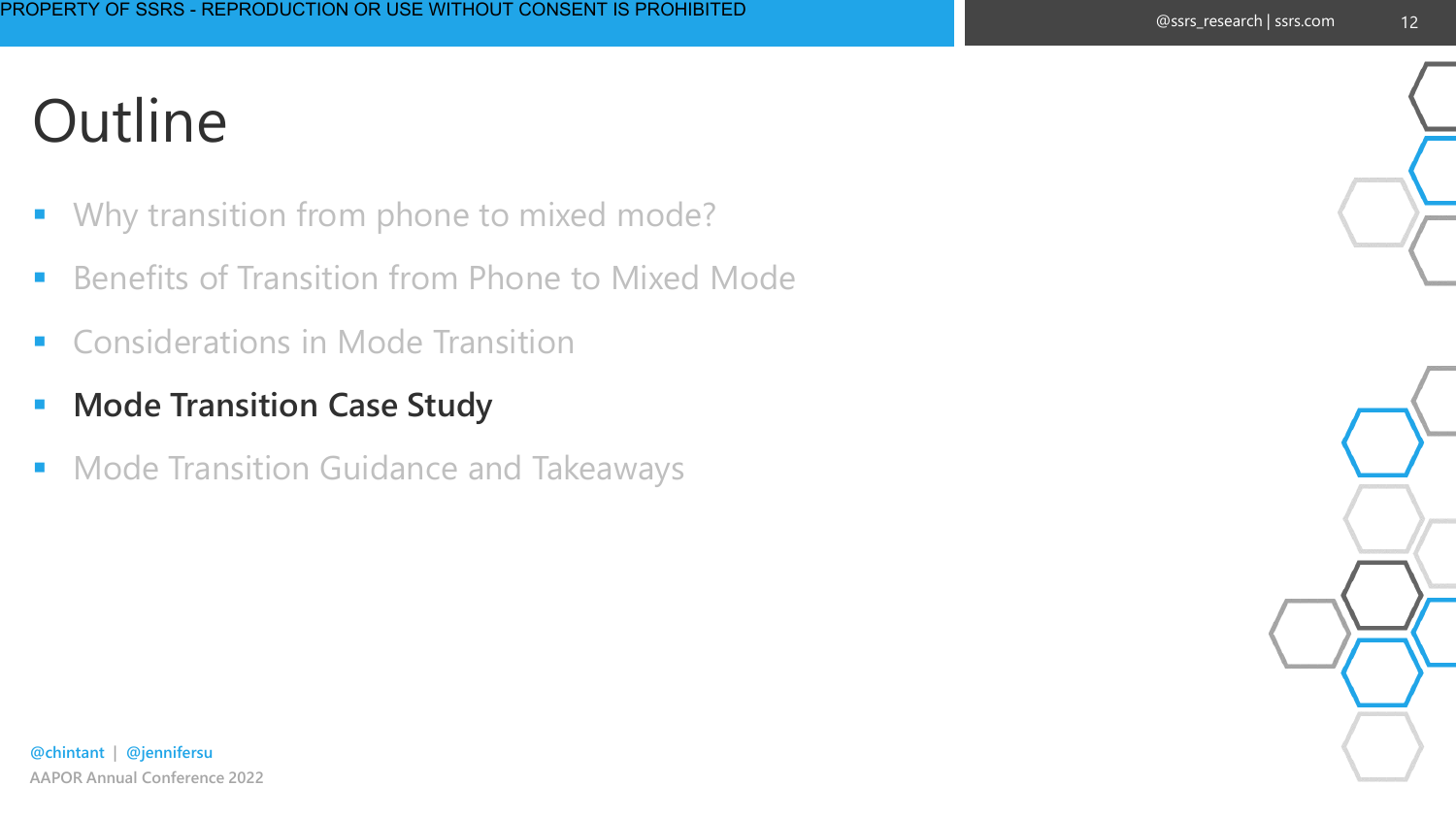- Why transition from phone to mixed mode?
- **E** Benefits of Transition from Phone to Mixed Mode
- Considerations in Mode Transition
- **E** Mode Transition Case Study
- Mode Transition Guidance and Takeaways

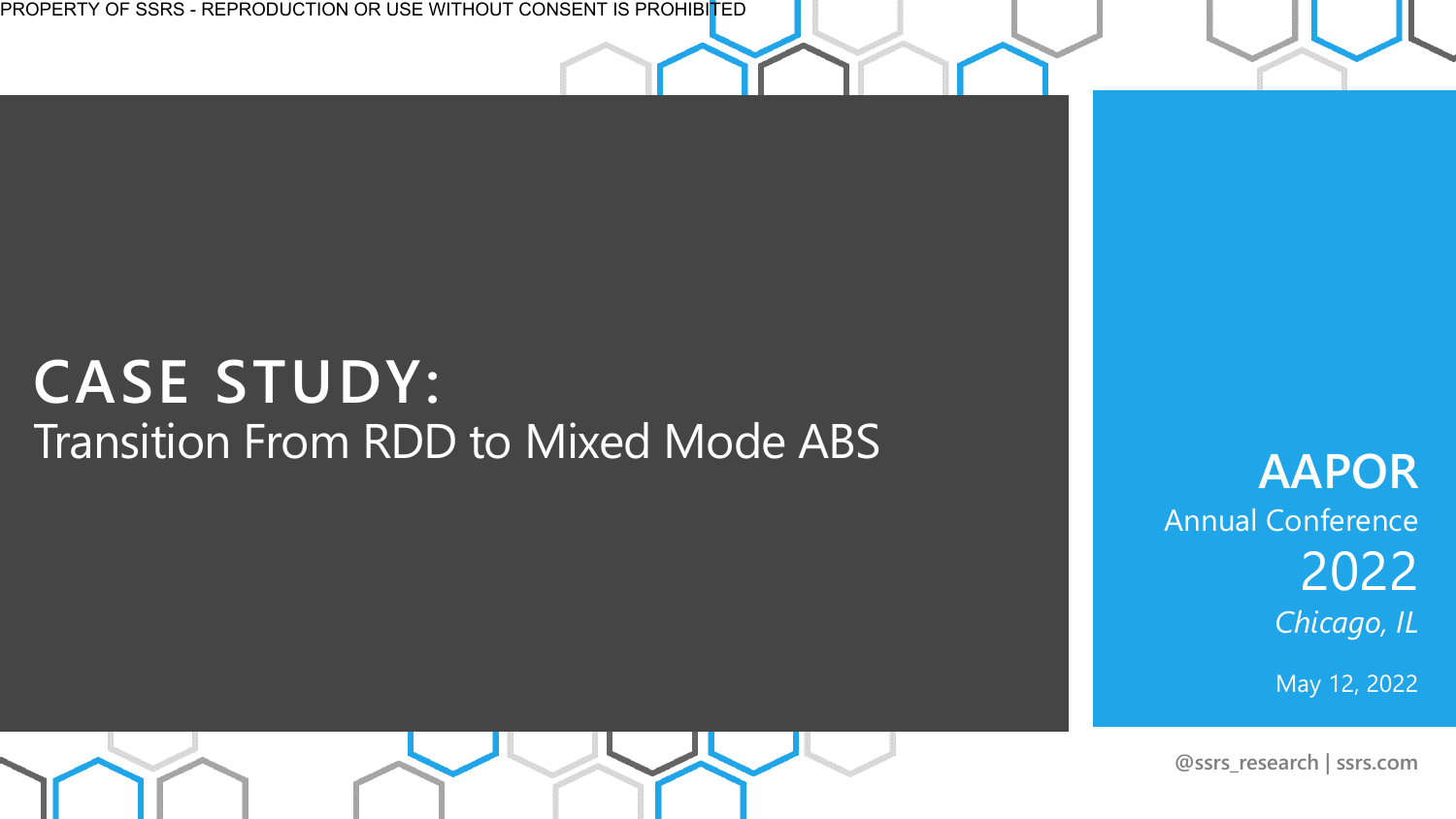PROPERTY OF SSRS - REPRODUCTION OR USE WITHOUT CONSENT IS PROHIBITED

#### **CASE STUDY:**  Transition From RDD to Mixed Mode ABS

**AAPOR**  Annual Conference 2022 *Chicago, IL*

May 12, 2022

**@ssrs\_research | ssrs.com**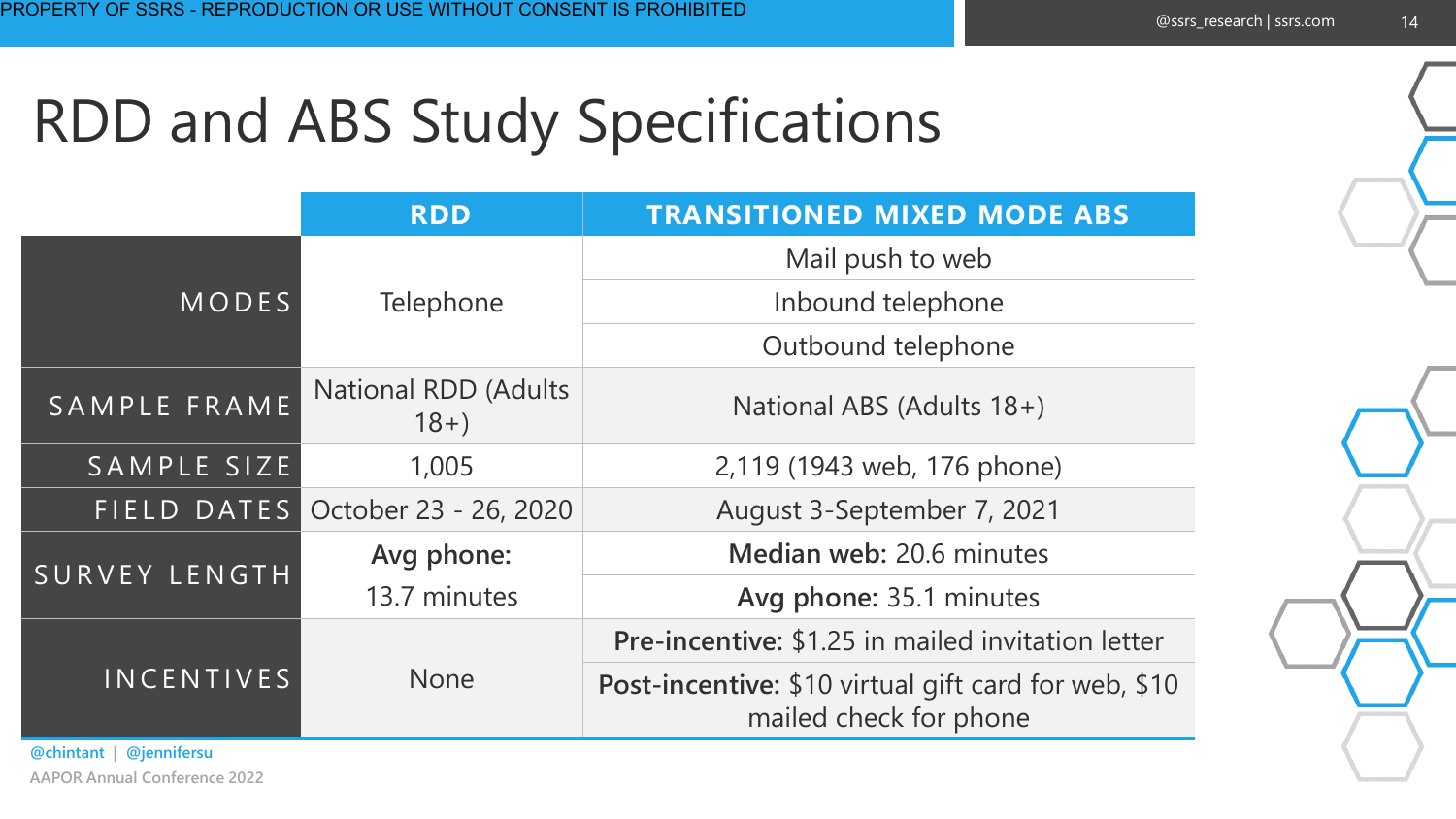## RDD and ABS Study Specifications

|                   | <b>RDD</b>                            | <b>TRANSITIONED MIXED MODE ABS</b>                                             |  |  |
|-------------------|---------------------------------------|--------------------------------------------------------------------------------|--|--|
|                   |                                       | Mail push to web                                                               |  |  |
| MODES             | Telephone                             | Inbound telephone                                                              |  |  |
|                   |                                       | Outbound telephone                                                             |  |  |
| SAMPLE FRAME      | <b>National RDD (Adults</b><br>$18+)$ | National ABS (Adults 18+)                                                      |  |  |
| SAMPLE SIZE       | 1,005                                 | 2,119 (1943 web, 176 phone)                                                    |  |  |
| FIELD DATES       | October 23 - 26, 2020                 | August 3-September 7, 2021                                                     |  |  |
| SURVEY LENGTH     | Avg phone:                            | Median web: 20.6 minutes                                                       |  |  |
|                   | 13.7 minutes                          | Avg phone: 35.1 minutes                                                        |  |  |
| <b>INCENTIVES</b> |                                       | <b>Pre-incentive: \$1.25 in mailed invitation letter</b>                       |  |  |
|                   | <b>None</b>                           | Post-incentive: \$10 virtual gift card for web, \$10<br>mailed check for phone |  |  |

**AAPOR Annual Conference 2022 @chintant | @jennifersu**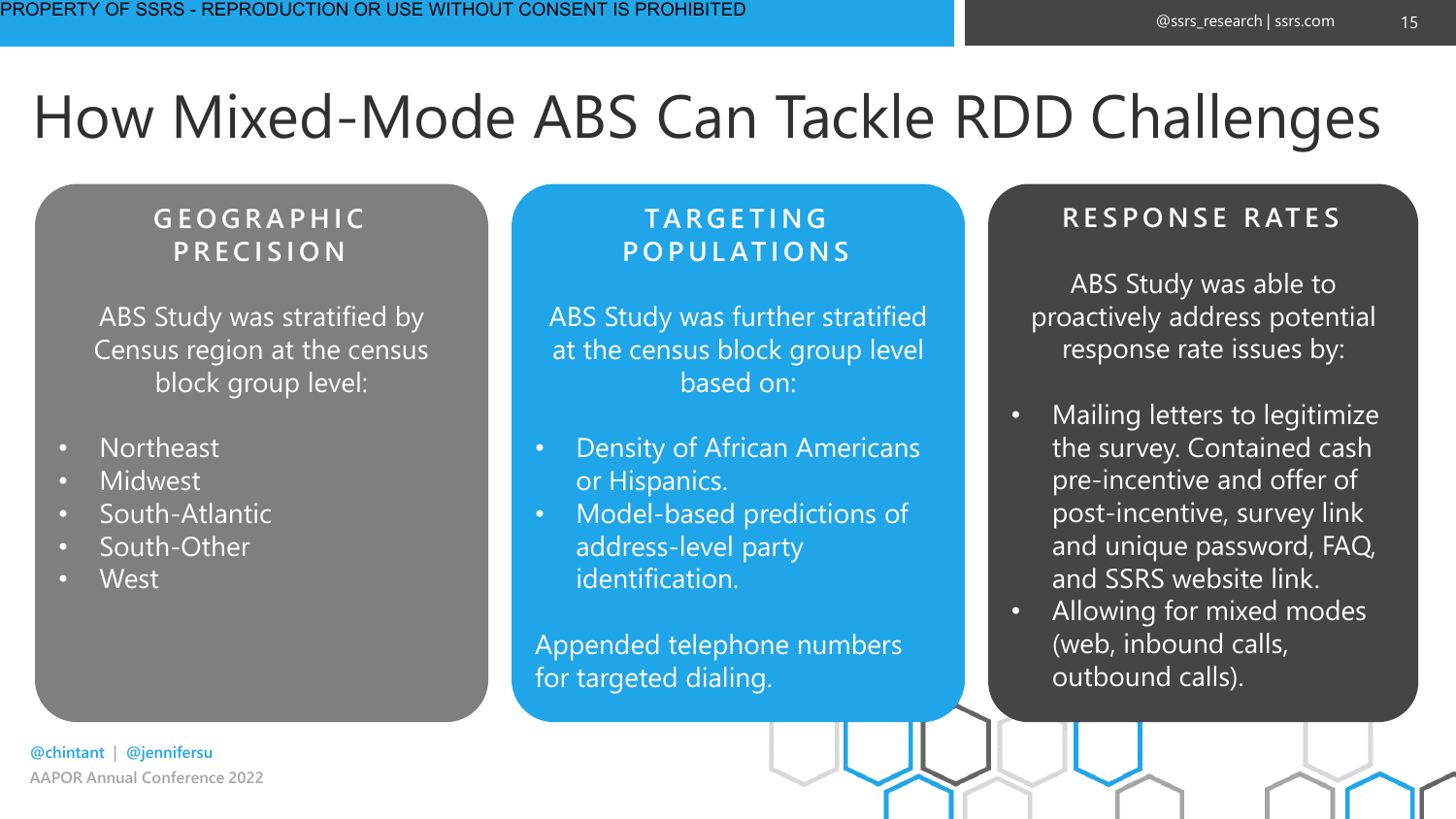15

## How Mixed-Mode ABS Can Tackle RDD Challenges

#### **G E O G R A P H I C P R E C I S I O N**

ABS Study was stratified by Census region at the census block group level:

- Northeast
- **Midwest**
- South-Atlantic
- South-Other
- West

#### **TA R G E T I N G P O P U L AT I O N S**

ABS Study was further stratified at the census block group level based on:

- Density of African Americans or Hispanics.
- Model-based predictions of address-level party identification.

Appended telephone numbers for targeted dialing.

#### **R E S P O N S E R AT E S**

ABS Study was able to proactively address potential response rate issues by:

- Mailing letters to legitimize the survey. Contained cash pre-incentive and offer of post-incentive, survey link and unique password, FAQ, and SSRS website link.
- Allowing for mixed modes (web, inbound calls, outbound calls).

**AAPOR Annual Conference 2022 @chintant | @jennifersu**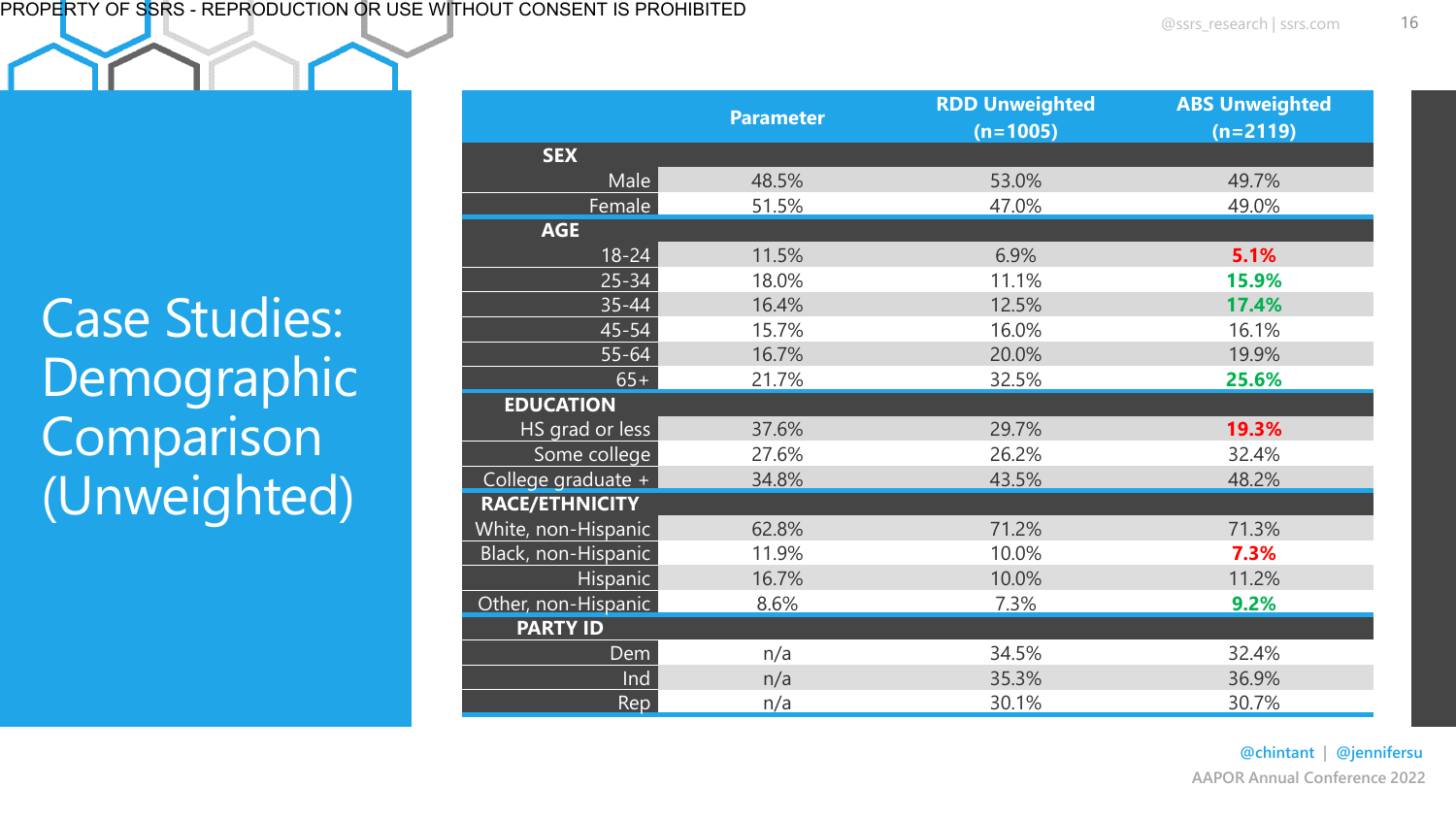Case Studies: Demographic Comparison (Unweighted)

|                       | <b>Parameter</b> | <b>RDD Unweighted</b> | <b>ABS Unweighted</b> |  |  |
|-----------------------|------------------|-----------------------|-----------------------|--|--|
|                       |                  | $(n=1005)$            | $(n=2119)$            |  |  |
| <b>SEX</b>            |                  |                       |                       |  |  |
| Male                  | 48.5%            | 53.0%                 | 49.7%                 |  |  |
| Female                | 51.5%            | 47.0%                 | 49.0%                 |  |  |
| <b>AGE</b>            |                  |                       |                       |  |  |
| $18 - 24$             | 11.5%            | 6.9%                  | 5.1%                  |  |  |
| $25 - 34$             | 18.0%            | 11.1%                 | 15.9%                 |  |  |
| $35 - 44$             | 16.4%            | 12.5%                 | 17.4%                 |  |  |
| 45-54                 | 15.7%            | 16.0%                 | 16.1%                 |  |  |
| $55 - 64$             | 16.7%            | 20.0%                 | 19.9%                 |  |  |
| $65+$                 | 21.7%            | 32.5%                 | 25.6%                 |  |  |
| <b>EDUCATION</b>      |                  |                       |                       |  |  |
| HS grad or less       | 37.6%            | 29.7%                 | 19.3%                 |  |  |
| Some college          | 27.6%            | 26.2%                 | 32.4%                 |  |  |
| College graduate +    | 34.8%            | 43.5%                 | 48.2%                 |  |  |
| <b>RACE/ETHNICITY</b> |                  |                       |                       |  |  |
| White, non-Hispanic   | 62.8%            | 71.2%                 | 71.3%                 |  |  |
| Black, non-Hispanic   | 11.9%            | 10.0%                 | 7.3%                  |  |  |
| Hispanic              | 16.7%            | 10.0%                 | 11.2%                 |  |  |
| Other, non-Hispanic   | 8.6%             | 7.3%                  | 9.2%                  |  |  |
| <b>PARTY ID</b>       |                  |                       |                       |  |  |
| Dem                   | n/a              | 34.5%                 | 32.4%                 |  |  |
| Ind                   | n/a              | 35.3%                 | 36.9%                 |  |  |
| Rep                   | n/a              | 30.1%                 | 30.7%                 |  |  |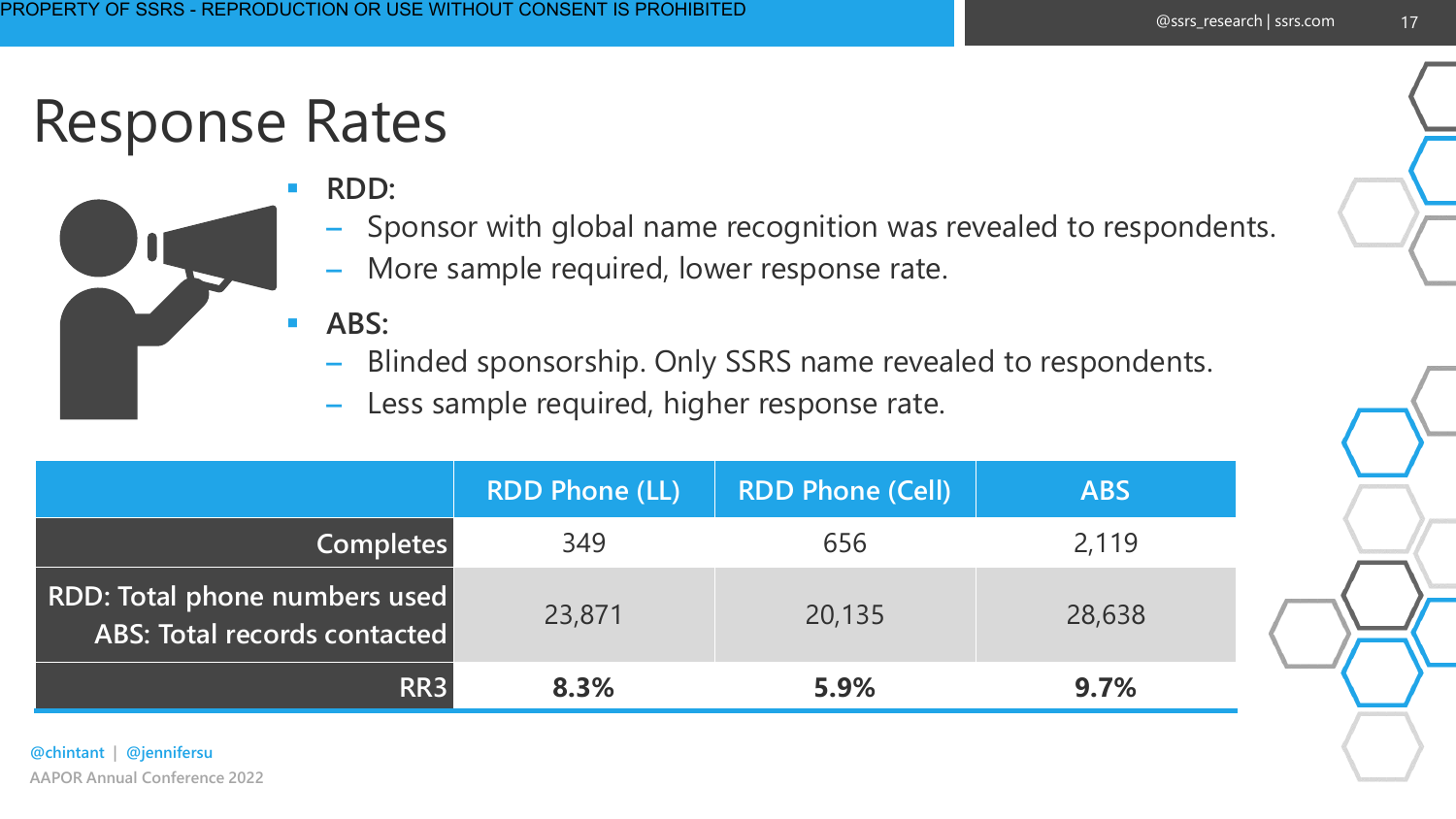### Response Rates



- **RDD:** 
	- Sponsor with global name recognition was revealed to respondents.
	- More sample required, lower response rate.
- **ABS:** 
	- Blinded sponsorship. Only SSRS name revealed to respondents.
	- Less sample required, higher response rate.

|                                                               | <b>RDD Phone (LL)</b> | <b>RDD Phone (Cell)</b> | <b>ABS</b> |
|---------------------------------------------------------------|-----------------------|-------------------------|------------|
| <b>Completes</b>                                              | 349                   | 656                     | 2,119      |
| RDD: Total phone numbers used<br>ABS: Total records contacted | 23,871                | 20,135                  | 28,638     |
| RR <sub>3</sub>                                               | 8.3%                  | 5.9%                    | 9.7%       |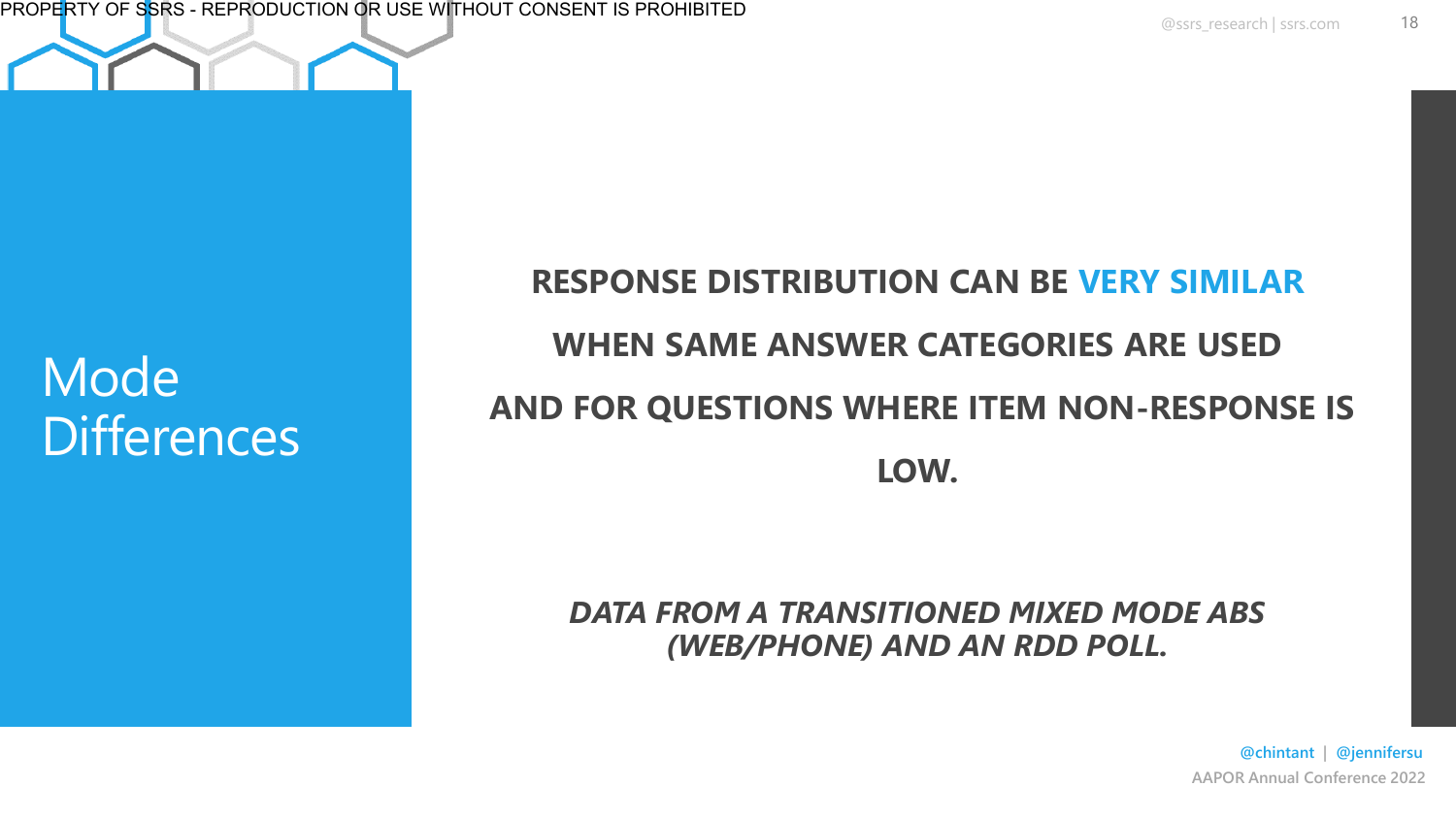#### Mode **Differences**

#### **RESPONSE DISTRIBUTION CAN BE VERY SIMILAR WHEN SAME ANSWER CATEGORIES ARE USED AND FOR QUESTIONS WHERE ITEM NON-RESPONSE IS LOW.**

#### *DATA FROM A TRANSITIONED MIXED MODE ABS (WEB/PHONE) AND AN RDD POLL.*

**AAPOR Annual Conference 2022 @chintant | @jennifersu**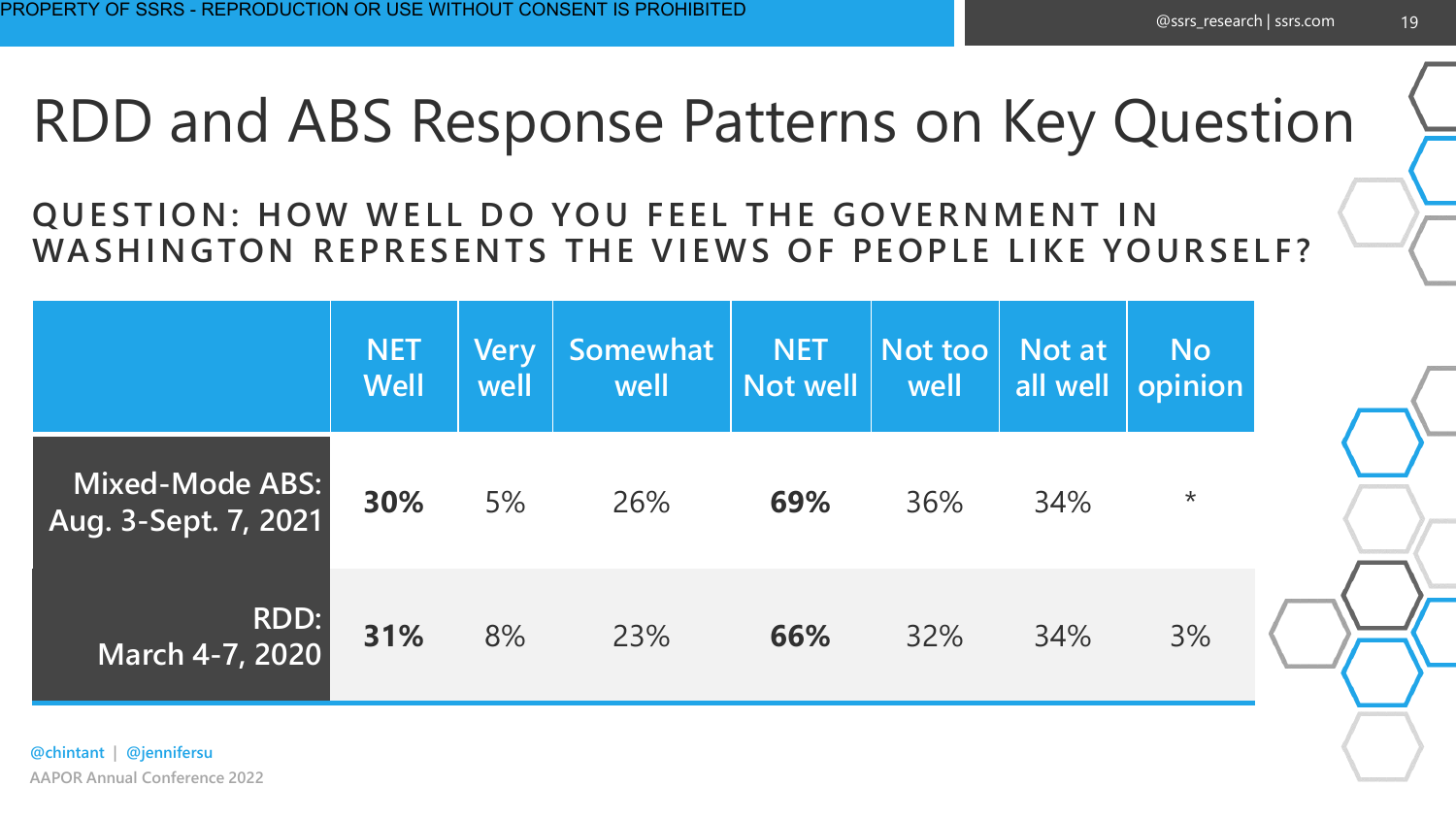### RDD and ABS Response Patterns on Key Question

#### **QUESTION: HOW WELL DO YOU FEEL THE GOVERNMENT IN**  WASHINGTON REPRESENTS THE VIEWS OF PEOPLE LIKE YOURSELF?

|                                         | <b>NET</b><br><b>Well</b> | <b>Very</b><br>well | Somewhat<br>well | <b>NET</b><br>Not well | Not too<br>well | Not at<br>all well | <b>No</b><br>opinion |
|-----------------------------------------|---------------------------|---------------------|------------------|------------------------|-----------------|--------------------|----------------------|
| Mixed-Mode ABS:<br>Aug. 3-Sept. 7, 2021 | 30%                       | 5%                  | 26%              | 69%                    | 36%             | 34%                | $\star$              |
| RDD:<br><b>March 4-7, 2020</b>          | 31%                       | 8%                  | 23%              | 66%                    | 32%             | 34%                | 3%                   |

**AAPOR Annual Conference 2022 @chintant | @jennifersu**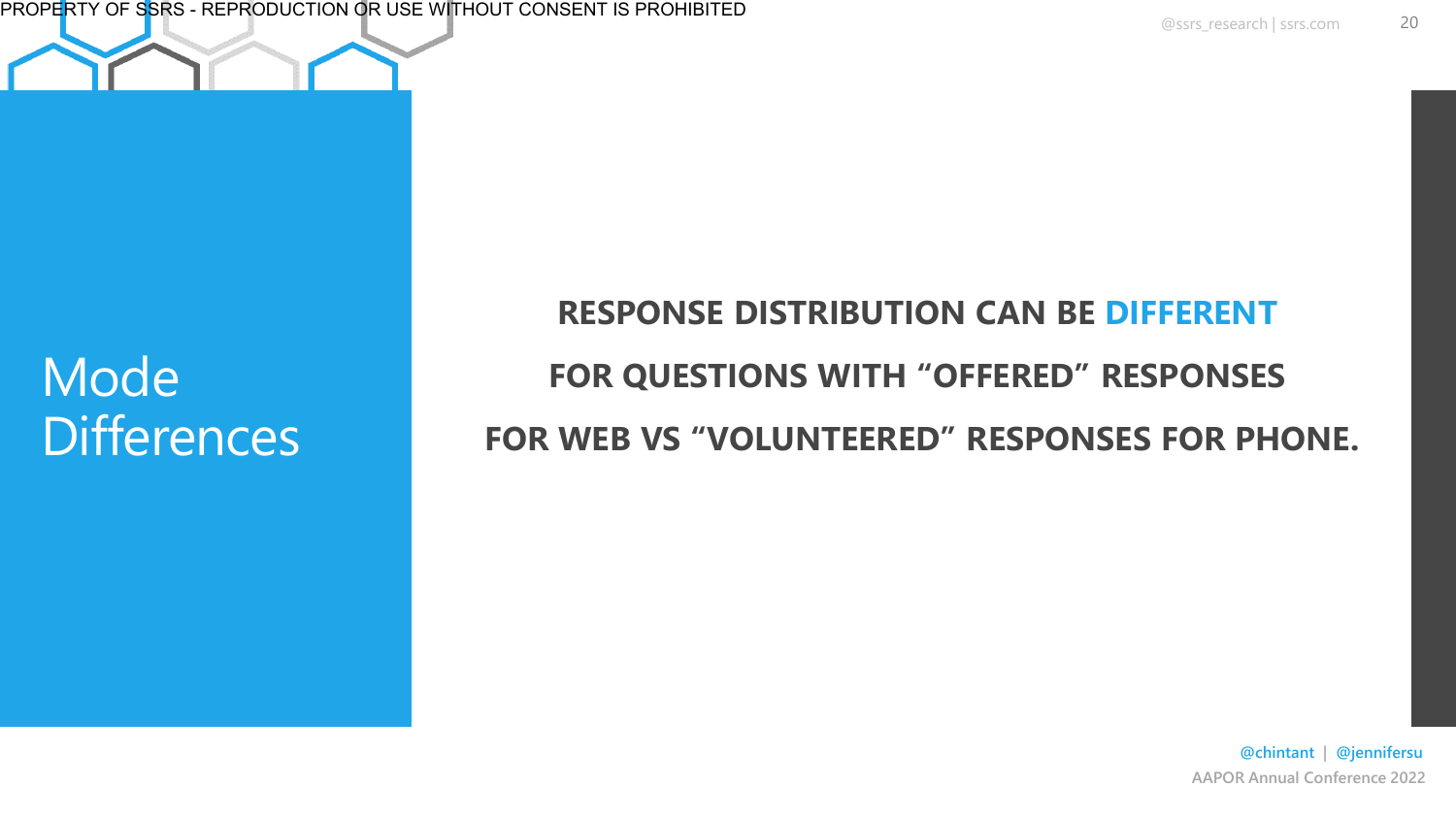PROPERTY OF SSRS - REPRODUCTION OR USE WITHOUT CONSENT IS PROHIBITED

#### Mode **Differences**

**RESPONSE DISTRIBUTION CAN BE DIFFERENT FOR QUESTIONS WITH "OFFERED" RESPONSES FOR WEB VS "VOLUNTEERED" RESPONSES FOR PHONE.**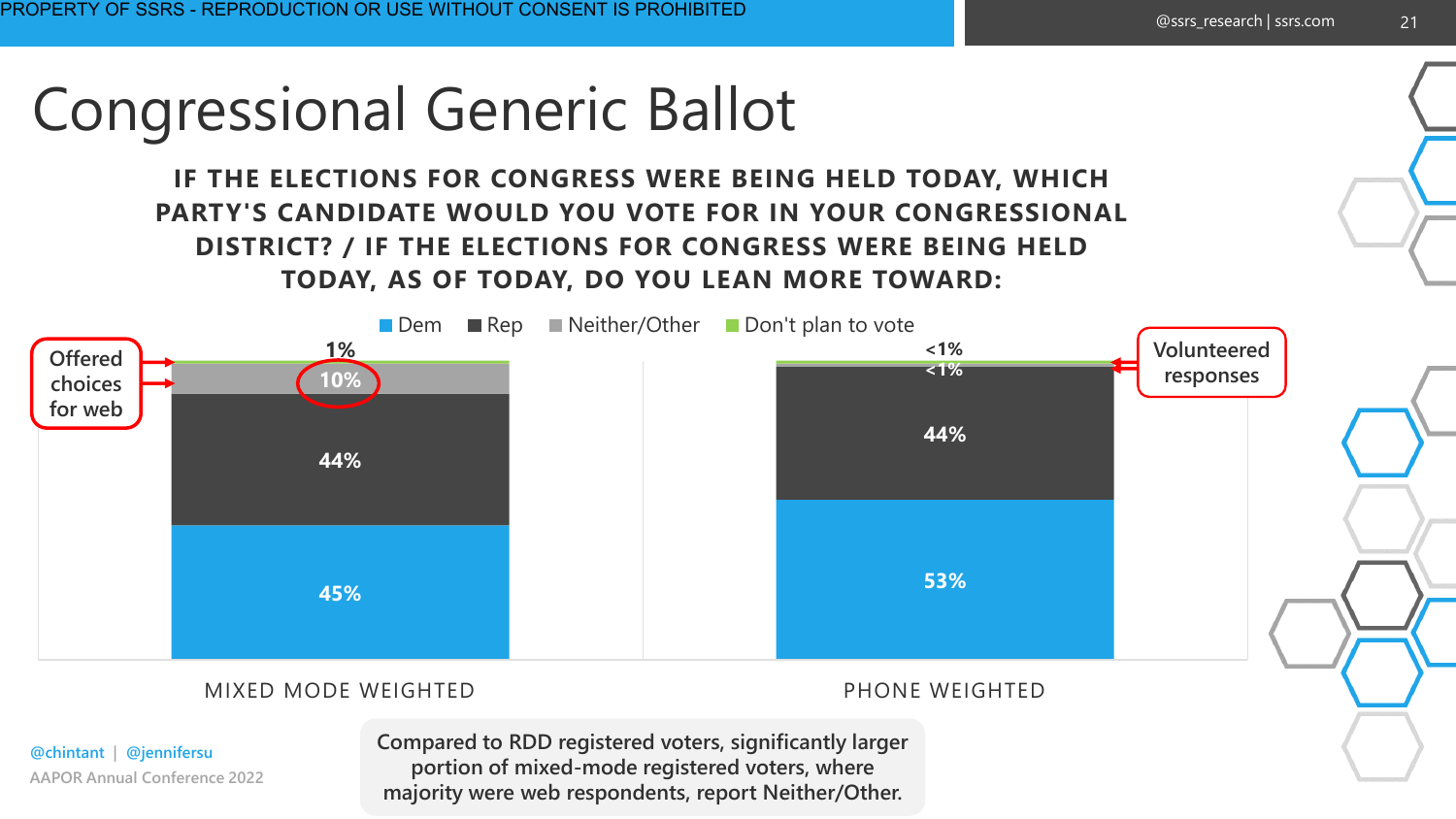### Congressional Generic Ballot

**IF THE ELECTIONS FOR CONGRESS WERE BEING HELD TODAY, WHICH PARTY'S CANDIDATE WOULD YOU VOTE FOR IN YOUR CONGRESSIONAL DISTRICT? / IF THE ELECTIONS FOR CONGRESS WERE BEING HELD TODAY, AS OF TODAY, DO YOU LEAN MORE TOWARD:**

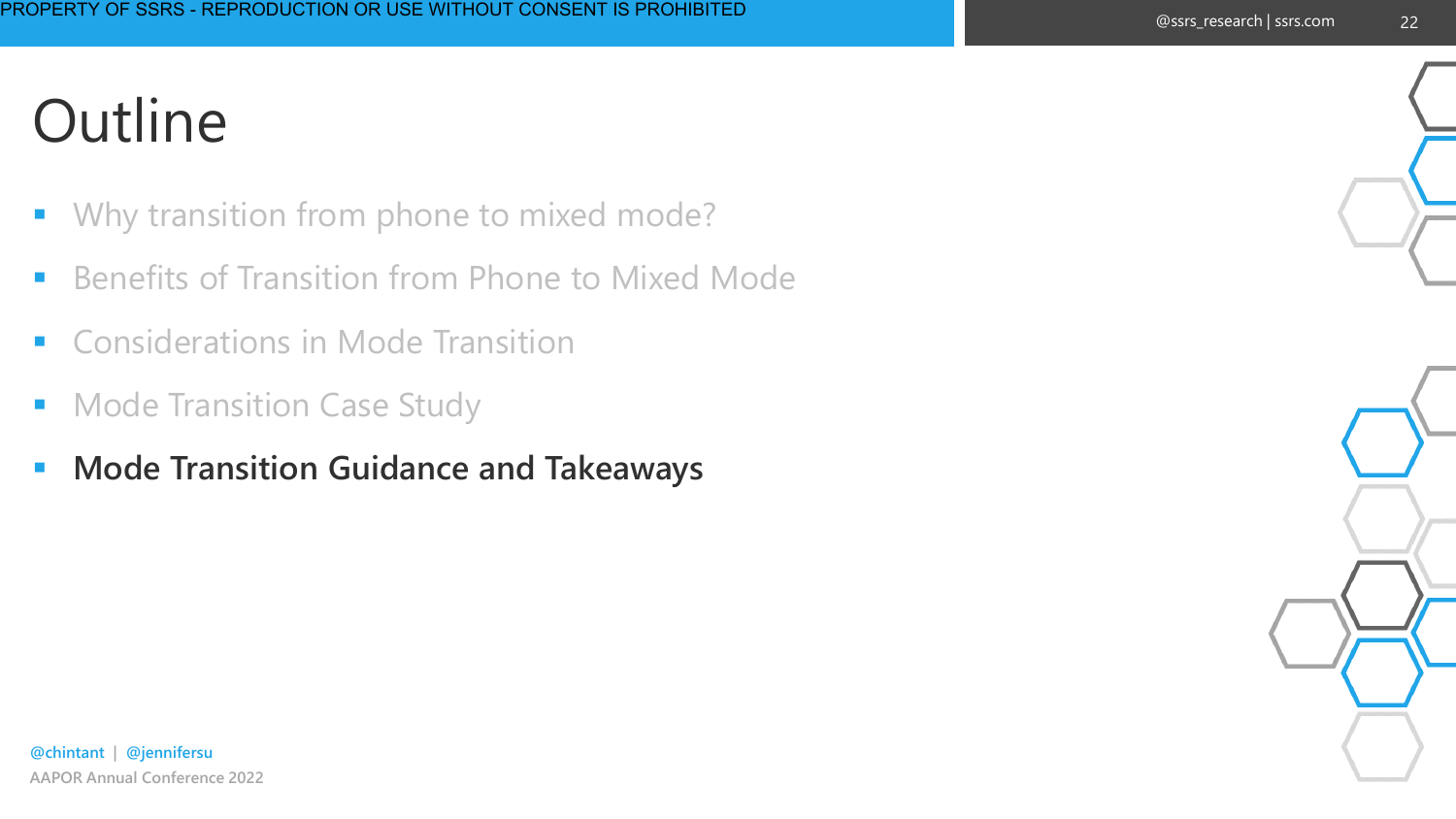- Why transition from phone to mixed mode?
- **E** Benefits of Transition from Phone to Mixed Mode
- Considerations in Mode Transition
- Mode Transition Case Study
- **Mode Transition Guidance and Takeaways**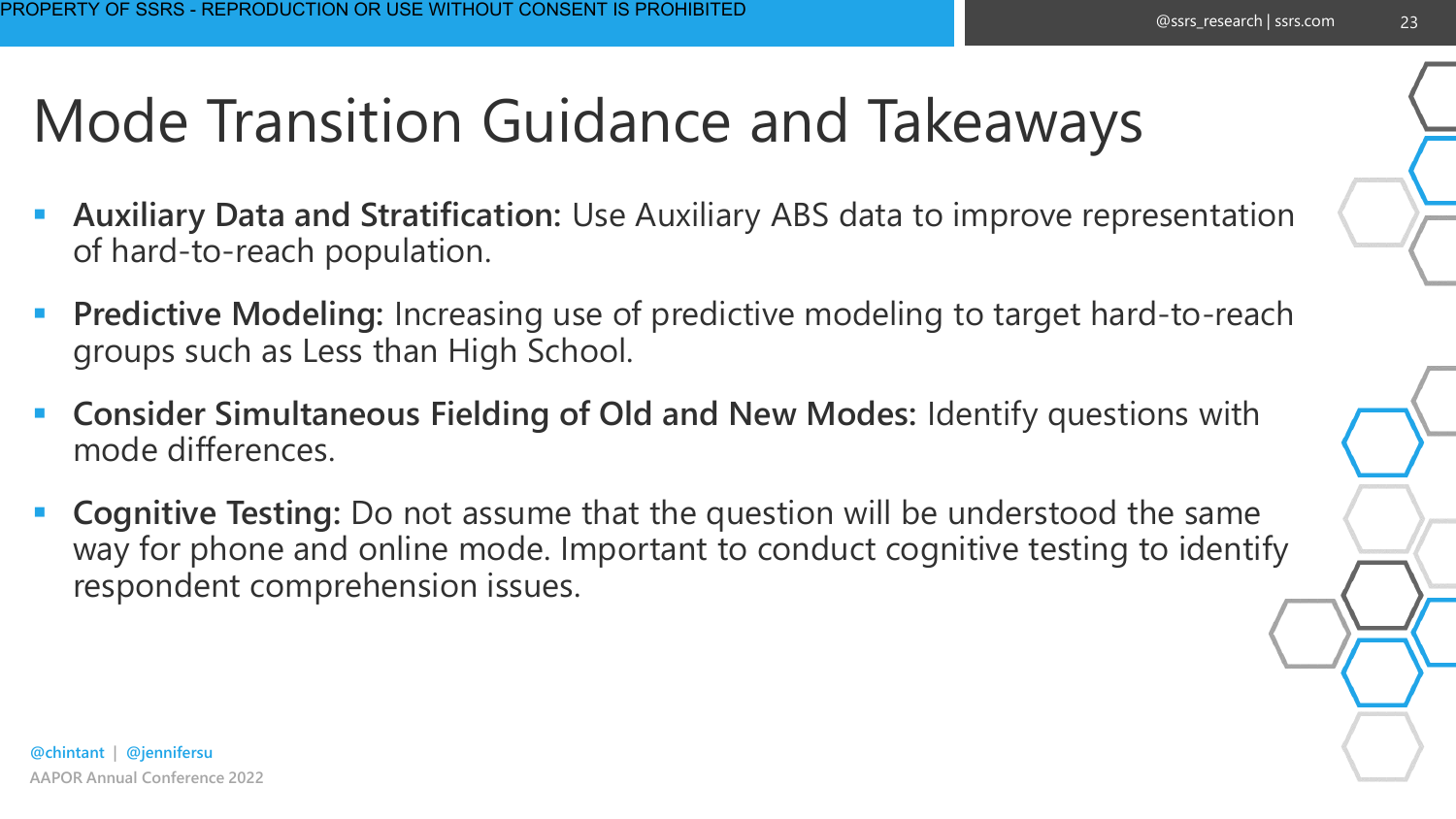## Mode Transition Guidance and Takeaways

- Auxiliary Data and Stratification: Use Auxiliary ABS data to improve representation of hard-to-reach population.
- Predictive Modeling: Increasing use of predictive modeling to target hard-to-reach groups such as Less than High School.
- **Consider Simultaneous Fielding of Old and New Modes:** Identify questions with mode differences.
- **Cognitive Testing:** Do not assume that the question will be understood the same way for phone and online mode. Important to conduct cognitive testing to identify respondent comprehension issues.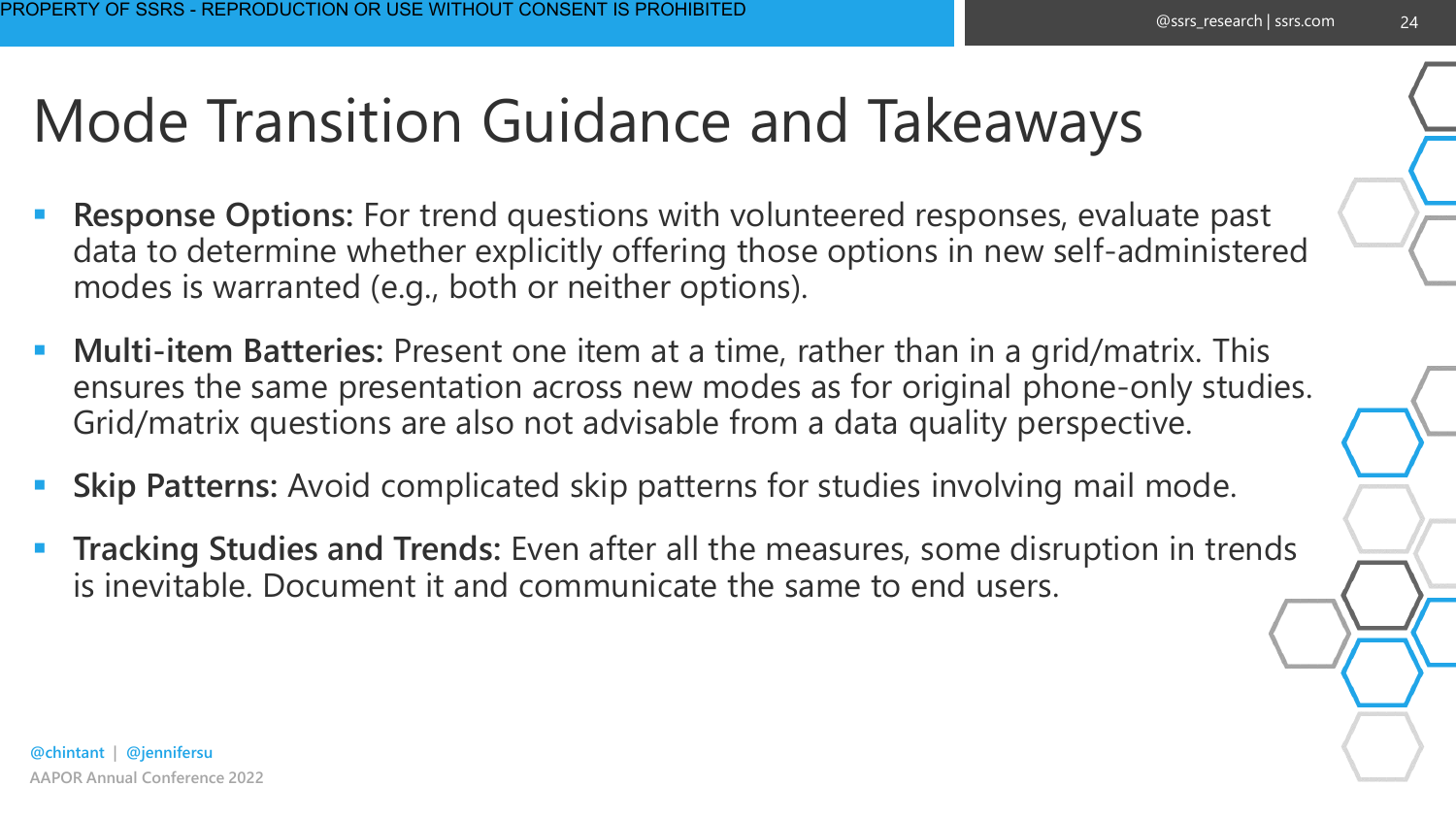## Mode Transition Guidance and Takeaways

- **Response Options:** For trend questions with volunteered responses, evaluate past data to determine whether explicitly offering those options in new self-administered modes is warranted (e.g., both or neither options).
- **Multi-item Batteries:** Present one item at a time, rather than in a grid/matrix. This ensures the same presentation across new modes as for original phone-only studies. Grid/matrix questions are also not advisable from a data quality perspective.
- Skip Patterns: Avoid complicated skip patterns for studies involving mail mode.
- **Tracking Studies and Trends:** Even after all the measures, some disruption in trends is inevitable. Document it and communicate the same to end users.